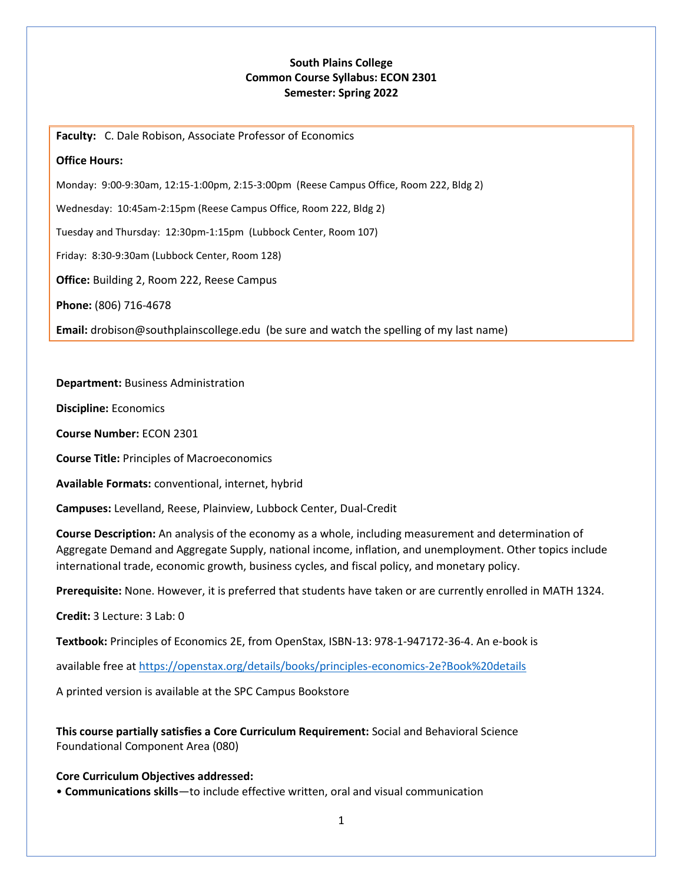## **South Plains College Common Course Syllabus: ECON 2301 Semester: Spring 2022**

**Faculty:** C. Dale Robison, Associate Professor of Economics

### **Office Hours:**

Monday: 9:00-9:30am, 12:15-1:00pm, 2:15-3:00pm (Reese Campus Office, Room 222, Bldg 2)

Wednesday: 10:45am-2:15pm (Reese Campus Office, Room 222, Bldg 2)

Tuesday and Thursday: 12:30pm-1:15pm (Lubbock Center, Room 107)

Friday: 8:30-9:30am (Lubbock Center, Room 128)

**Office:** Building 2, Room 222, Reese Campus

**Phone:** (806) 716-4678

**Email:** drobison@southplainscollege.edu (be sure and watch the spelling of my last name)

### **Department:** Business Administration

**Discipline:** Economics

**Course Number:** ECON 2301

**Course Title:** Principles of Macroeconomics

**Available Formats:** conventional, internet, hybrid

**Campuses:** Levelland, Reese, Plainview, Lubbock Center, Dual-Credit

**Course Description:** An analysis of the economy as a whole, including measurement and determination of Aggregate Demand and Aggregate Supply, national income, inflation, and unemployment. Other topics include international trade, economic growth, business cycles, and fiscal policy, and monetary policy.

**Prerequisite:** None. However, it is preferred that students have taken or are currently enrolled in MATH 1324.

**Credit:** 3 Lecture: 3 Lab: 0

**Textbook:** Principles of Economics 2E, from OpenStax, ISBN-13: 978-1-947172-36-4. An e-book is

available free a[t https://openstax.org/details/books/principles-economics-2e?Book%20details](https://openstax.org/details/books/principles-economics-2e?Book%20details%20)

A printed version is available at the SPC Campus Bookstore

**This course partially satisfies a Core Curriculum Requirement:** Social and Behavioral Science Foundational Component Area (080)

#### **Core Curriculum Objectives addressed:**

• **Communications skills**—to include effective written, oral and visual communication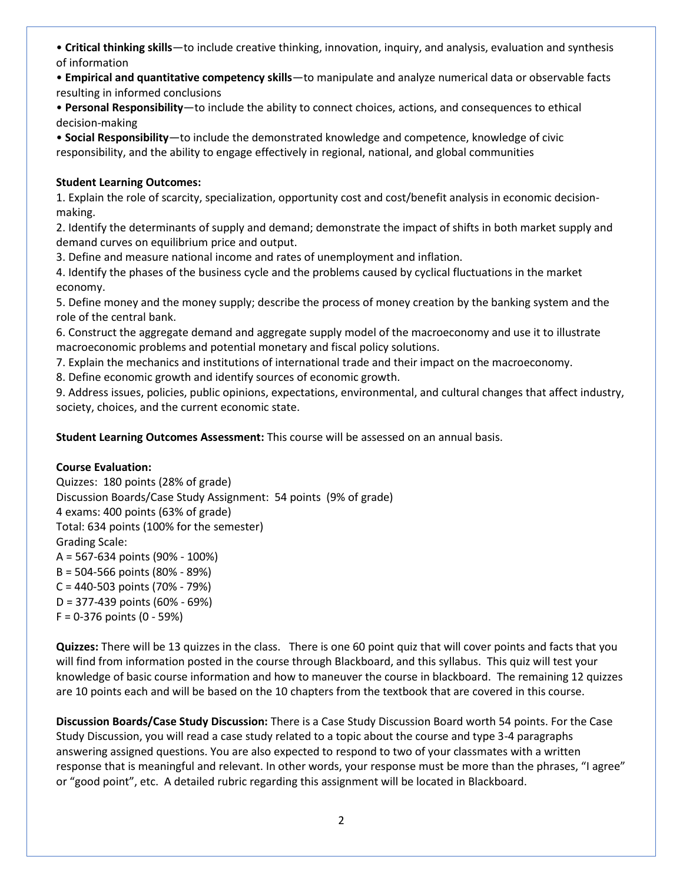• **Critical thinking skills**—to include creative thinking, innovation, inquiry, and analysis, evaluation and synthesis of information

• **Empirical and quantitative competency skills**—to manipulate and analyze numerical data or observable facts resulting in informed conclusions

• **Personal Responsibility**—to include the ability to connect choices, actions, and consequences to ethical decision-making

• **Social Responsibility**—to include the demonstrated knowledge and competence, knowledge of civic responsibility, and the ability to engage effectively in regional, national, and global communities

# **Student Learning Outcomes:**

1. Explain the role of scarcity, specialization, opportunity cost and cost/benefit analysis in economic decisionmaking.

2. Identify the determinants of supply and demand; demonstrate the impact of shifts in both market supply and demand curves on equilibrium price and output.

3. Define and measure national income and rates of unemployment and inflation.

4. Identify the phases of the business cycle and the problems caused by cyclical fluctuations in the market economy.

5. Define money and the money supply; describe the process of money creation by the banking system and the role of the central bank.

6. Construct the aggregate demand and aggregate supply model of the macroeconomy and use it to illustrate macroeconomic problems and potential monetary and fiscal policy solutions.

7. Explain the mechanics and institutions of international trade and their impact on the macroeconomy.

8. Define economic growth and identify sources of economic growth.

9. Address issues, policies, public opinions, expectations, environmental, and cultural changes that affect industry, society, choices, and the current economic state.

**Student Learning Outcomes Assessment:** This course will be assessed on an annual basis.

# **Course Evaluation:**

Quizzes: 180 points (28% of grade) Discussion Boards/Case Study Assignment: 54 points (9% of grade) 4 exams: 400 points (63% of grade) Total: 634 points (100% for the semester) Grading Scale: A = 567-634 points (90% - 100%) B = 504-566 points (80% - 89%) C = 440-503 points (70% - 79%) D = 377-439 points (60% - 69%)  $F = 0-376$  points  $(0 - 59%)$ 

**Quizzes:** There will be 13 quizzes in the class. There is one 60 point quiz that will cover points and facts that you will find from information posted in the course through Blackboard, and this syllabus. This quiz will test your knowledge of basic course information and how to maneuver the course in blackboard. The remaining 12 quizzes are 10 points each and will be based on the 10 chapters from the textbook that are covered in this course.

**Discussion Boards/Case Study Discussion:** There is a Case Study Discussion Board worth 54 points. For the Case Study Discussion, you will read a case study related to a topic about the course and type 3-4 paragraphs answering assigned questions. You are also expected to respond to two of your classmates with a written response that is meaningful and relevant. In other words, your response must be more than the phrases, "I agree" or "good point", etc. A detailed rubric regarding this assignment will be located in Blackboard.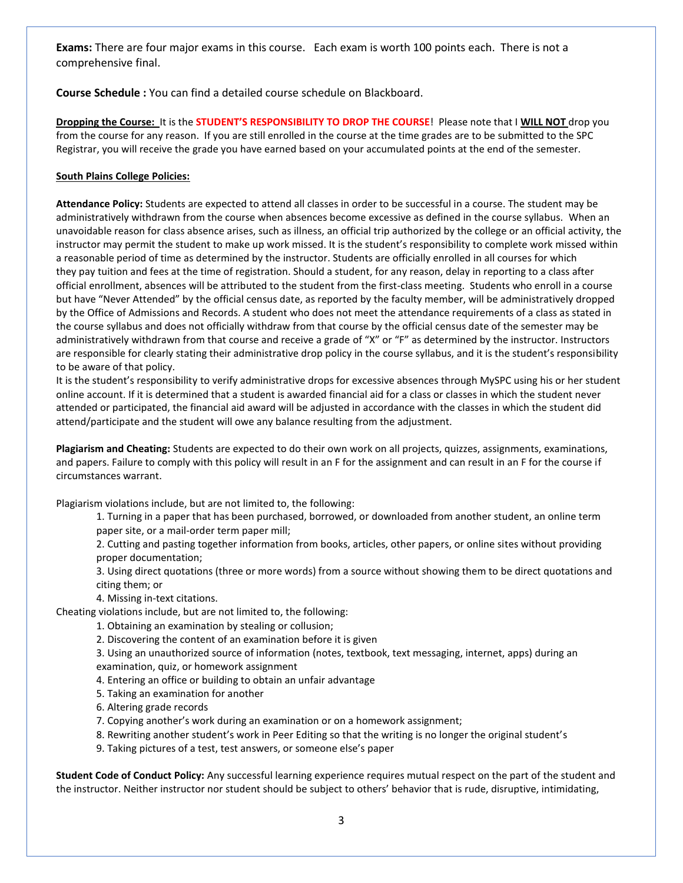**Exams:** There are four major exams in this course. Each exam is worth 100 points each. There is not a comprehensive final.

**Course Schedule :** You can find a detailed course schedule on Blackboard.

**Dropping the Course:** It is the **STUDENT'S RESPONSIBILITY TO DROP THE COURSE**! Please note that I **WILL NOT** drop you from the course for any reason. If you are still enrolled in the course at the time grades are to be submitted to the SPC Registrar, you will receive the grade you have earned based on your accumulated points at the end of the semester.

#### **South Plains College Policies:**

**Attendance Policy:** Students are expected to attend all classes in order to be successful in a course. The student may be administratively withdrawn from the course when absences become excessive as defined in the course syllabus. When an unavoidable reason for class absence arises, such as illness, an official trip authorized by the college or an official activity, the instructor may permit the student to make up work missed. It is the student's responsibility to complete work missed within a reasonable period of time as determined by the instructor. Students are officially enrolled in all courses for which they pay tuition and fees at the time of registration. Should a student, for any reason, delay in reporting to a class after official enrollment, absences will be attributed to the student from the first-class meeting. Students who enroll in a course but have "Never Attended" by the official census date, as reported by the faculty member, will be administratively dropped by the Office of Admissions and Records. A student who does not meet the attendance requirements of a class as stated in the course syllabus and does not officially withdraw from that course by the official census date of the semester may be administratively withdrawn from that course and receive a grade of "X" or "F" as determined by the instructor. Instructors are responsible for clearly stating their administrative drop policy in the course syllabus, and it is the student's responsibility to be aware of that policy.

It is the student's responsibility to verify administrative drops for excessive absences through MySPC using his or her student online account. If it is determined that a student is awarded financial aid for a class or classes in which the student never attended or participated, the financial aid award will be adjusted in accordance with the classes in which the student did attend/participate and the student will owe any balance resulting from the adjustment.

**Plagiarism and Cheating:** Students are expected to do their own work on all projects, quizzes, assignments, examinations, and papers. Failure to comply with this policy will result in an F for the assignment and can result in an F for the course if circumstances warrant.

Plagiarism violations include, but are not limited to, the following:

1. Turning in a paper that has been purchased, borrowed, or downloaded from another student, an online term paper site, or a mail-order term paper mill;

2. Cutting and pasting together information from books, articles, other papers, or online sites without providing proper documentation;

3. Using direct quotations (three or more words) from a source without showing them to be direct quotations and citing them; or

4. Missing in-text citations.

Cheating violations include, but are not limited to, the following:

- 1. Obtaining an examination by stealing or collusion;
- 2. Discovering the content of an examination before it is given

3. Using an unauthorized source of information (notes, textbook, text messaging, internet, apps) during an examination, quiz, or homework assignment

- 4. Entering an office or building to obtain an unfair advantage
- 5. Taking an examination for another
- 6. Altering grade records
- 7. Copying another's work during an examination or on a homework assignment;
- 8. Rewriting another student's work in Peer Editing so that the writing is no longer the original student's
- 9. Taking pictures of a test, test answers, or someone else's paper

**Student Code of Conduct Policy:** Any successful learning experience requires mutual respect on the part of the student and the instructor. Neither instructor nor student should be subject to others' behavior that is rude, disruptive, intimidating,